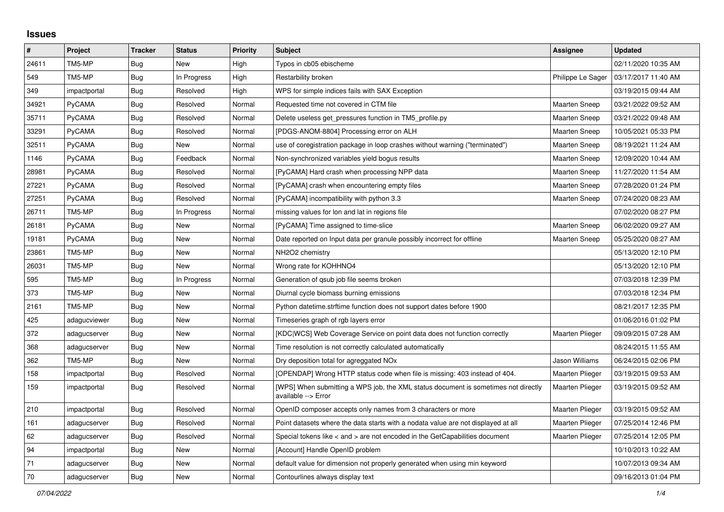## **Issues**

| $\sharp$ | Project      | <b>Tracker</b> | <b>Status</b> | <b>Priority</b> | <b>Subject</b>                                                                                            | <b>Assignee</b>        | <b>Updated</b>      |
|----------|--------------|----------------|---------------|-----------------|-----------------------------------------------------------------------------------------------------------|------------------------|---------------------|
| 24611    | TM5-MP       | <b>Bug</b>     | <b>New</b>    | High            | Typos in cb05 ebischeme                                                                                   |                        | 02/11/2020 10:35 AM |
| 549      | TM5-MP       | <b>Bug</b>     | In Progress   | High            | Restarbility broken                                                                                       | Philippe Le Sager      | 03/17/2017 11:40 AM |
| 349      | impactportal | Bug            | Resolved      | High            | WPS for simple indices fails with SAX Exception                                                           |                        | 03/19/2015 09:44 AM |
| 34921    | PyCAMA       | <b>Bug</b>     | Resolved      | Normal          | Requested time not covered in CTM file                                                                    | <b>Maarten Sneep</b>   | 03/21/2022 09:52 AM |
| 35711    | PyCAMA       | Bug            | Resolved      | Normal          | Delete useless get pressures function in TM5 profile.py                                                   | <b>Maarten Sneep</b>   | 03/21/2022 09:48 AM |
| 33291    | PyCAMA       | Bug            | Resolved      | Normal          | [PDGS-ANOM-8804] Processing error on ALH                                                                  | <b>Maarten Sneep</b>   | 10/05/2021 05:33 PM |
| 32511    | PyCAMA       | Bug            | New           | Normal          | use of coregistration package in loop crashes without warning ("terminated")                              | <b>Maarten Sneep</b>   | 08/19/2021 11:24 AM |
| 1146     | PyCAMA       | Bug            | Feedback      | Normal          | Non-synchronized variables yield bogus results                                                            | <b>Maarten Sneep</b>   | 12/09/2020 10:44 AM |
| 28981    | PyCAMA       | Bug            | Resolved      | Normal          | [PyCAMA] Hard crash when processing NPP data                                                              | <b>Maarten Sneep</b>   | 11/27/2020 11:54 AM |
| 27221    | PyCAMA       | Bug            | Resolved      | Normal          | [PyCAMA] crash when encountering empty files                                                              | Maarten Sneep          | 07/28/2020 01:24 PM |
| 27251    | PyCAMA       | Bug            | Resolved      | Normal          | [PyCAMA] incompatibility with python 3.3                                                                  | <b>Maarten Sneep</b>   | 07/24/2020 08:23 AM |
| 26711    | TM5-MP       | Bug            | In Progress   | Normal          | missing values for lon and lat in regions file                                                            |                        | 07/02/2020 08:27 PM |
| 26181    | PyCAMA       | Bug            | <b>New</b>    | Normal          | [PyCAMA] Time assigned to time-slice                                                                      | <b>Maarten Sneep</b>   | 06/02/2020 09:27 AM |
| 19181    | PyCAMA       | Bug            | New           | Normal          | Date reported on Input data per granule possibly incorrect for offline                                    | <b>Maarten Sneep</b>   | 05/25/2020 08:27 AM |
| 23861    | TM5-MP       | Bug            | New           | Normal          | NH2O2 chemistry                                                                                           |                        | 05/13/2020 12:10 PM |
| 26031    | TM5-MP       | Bug            | New           | Normal          | Wrong rate for KOHHNO4                                                                                    |                        | 05/13/2020 12:10 PM |
| 595      | TM5-MP       | Bug            | In Progress   | Normal          | Generation of gsub job file seems broken                                                                  |                        | 07/03/2018 12:39 PM |
| 373      | TM5-MP       | Bug            | <b>New</b>    | Normal          | Diurnal cycle biomass burning emissions                                                                   |                        | 07/03/2018 12:34 PM |
| 2161     | TM5-MP       | Bug            | New           | Normal          | Python datetime.strftime function does not support dates before 1900                                      |                        | 08/21/2017 12:35 PM |
| 425      | adagucviewer | Bug            | New           | Normal          | Timeseries graph of rgb layers error                                                                      |                        | 01/06/2016 01:02 PM |
| 372      | adagucserver | Bug            | New           | Normal          | [KDC WCS] Web Coverage Service on point data does not function correctly                                  | <b>Maarten Plieger</b> | 09/09/2015 07:28 AM |
| 368      | adagucserver | Bug            | <b>New</b>    | Normal          | Time resolution is not correctly calculated automatically                                                 |                        | 08/24/2015 11:55 AM |
| 362      | TM5-MP       | Bug            | New           | Normal          | Dry deposition total for agreggated NO <sub>x</sub>                                                       | Jason Williams         | 06/24/2015 02:06 PM |
| 158      | impactportal | <b>Bug</b>     | Resolved      | Normal          | [OPENDAP] Wrong HTTP status code when file is missing: 403 instead of 404.                                | Maarten Plieger        | 03/19/2015 09:53 AM |
| 159      | impactportal | <b>Bug</b>     | Resolved      | Normal          | [WPS] When submitting a WPS job, the XML status document is sometimes not directly<br>available --> Error | Maarten Plieger        | 03/19/2015 09:52 AM |
| 210      | impactportal | Bug            | Resolved      | Normal          | OpenID composer accepts only names from 3 characters or more                                              | Maarten Plieger        | 03/19/2015 09:52 AM |
| 161      | adagucserver | <b>Bug</b>     | Resolved      | Normal          | Point datasets where the data starts with a nodata value are not displayed at all                         | Maarten Plieger        | 07/25/2014 12:46 PM |
| 62       | adagucserver | Bug            | Resolved      | Normal          | Special tokens like < and > are not encoded in the GetCapabilities document                               | Maarten Plieger        | 07/25/2014 12:05 PM |
| 94       | impactportal | Bug            | New           | Normal          | [Account] Handle OpenID problem                                                                           |                        | 10/10/2013 10:22 AM |
| 71       | adagucserver | Bug            | New           | Normal          | default value for dimension not properly generated when using min keyword                                 |                        | 10/07/2013 09:34 AM |
| 70       | adagucserver | Bug            | New           | Normal          | Contourlines always display text                                                                          |                        | 09/16/2013 01:04 PM |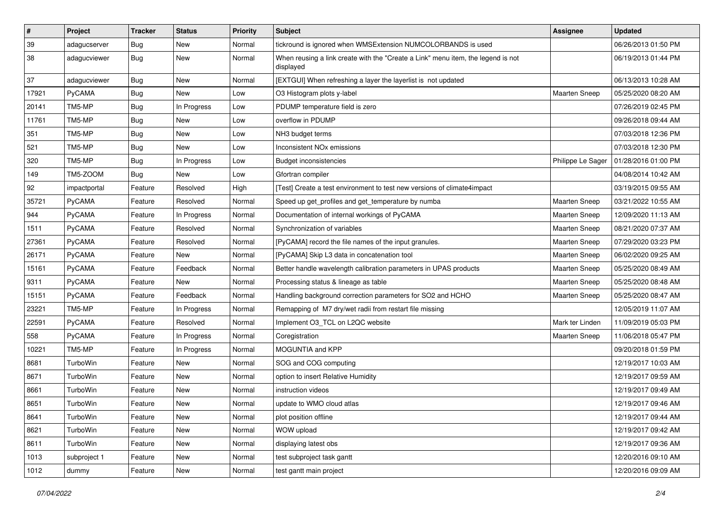| $\vert$ # | Project      | <b>Tracker</b> | <b>Status</b> | <b>Priority</b> | Subject                                                                                       | <b>Assignee</b>      | <b>Updated</b>      |
|-----------|--------------|----------------|---------------|-----------------|-----------------------------------------------------------------------------------------------|----------------------|---------------------|
| 39        | adagucserver | <b>Bug</b>     | New           | Normal          | tickround is ignored when WMSExtension NUMCOLORBANDS is used                                  |                      | 06/26/2013 01:50 PM |
| 38        | adagucviewer | <b>Bug</b>     | New           | Normal          | When reusing a link create with the "Create a Link" menu item, the legend is not<br>displayed |                      | 06/19/2013 01:44 PM |
| 37        | adagucviewer | <b>Bug</b>     | New           | Normal          | [EXTGUI] When refreshing a layer the layerlist is not updated                                 |                      | 06/13/2013 10:28 AM |
| 17921     | PyCAMA       | <b>Bug</b>     | <b>New</b>    | Low             | O3 Histogram plots y-label                                                                    | Maarten Sneep        | 05/25/2020 08:20 AM |
| 20141     | TM5-MP       | <b>Bug</b>     | In Progress   | Low             | PDUMP temperature field is zero                                                               |                      | 07/26/2019 02:45 PM |
| 11761     | TM5-MP       | Bug            | <b>New</b>    | Low             | overflow in PDUMP                                                                             |                      | 09/26/2018 09:44 AM |
| 351       | TM5-MP       | <b>Bug</b>     | New           | Low             | NH3 budget terms                                                                              |                      | 07/03/2018 12:36 PM |
| 521       | TM5-MP       | Bug            | New           | Low             | Inconsistent NO <sub>x</sub> emissions                                                        |                      | 07/03/2018 12:30 PM |
| 320       | TM5-MP       | Bug            | In Progress   | Low             | <b>Budget inconsistencies</b>                                                                 | Philippe Le Sager    | 01/28/2016 01:00 PM |
| 149       | TM5-ZOOM     | <b>Bug</b>     | New           | Low             | Gfortran compiler                                                                             |                      | 04/08/2014 10:42 AM |
| 92        | impactportal | Feature        | Resolved      | High            | [Test] Create a test environment to test new versions of climate4impact                       |                      | 03/19/2015 09:55 AM |
| 35721     | PyCAMA       | Feature        | Resolved      | Normal          | Speed up get_profiles and get_temperature by numba                                            | Maarten Sneep        | 03/21/2022 10:55 AM |
| 944       | PyCAMA       | Feature        | In Progress   | Normal          | Documentation of internal workings of PyCAMA                                                  | Maarten Sneep        | 12/09/2020 11:13 AM |
| 1511      | PyCAMA       | Feature        | Resolved      | Normal          | Synchronization of variables                                                                  | Maarten Sneep        | 08/21/2020 07:37 AM |
| 27361     | PyCAMA       | Feature        | Resolved      | Normal          | [PyCAMA] record the file names of the input granules.                                         | Maarten Sneep        | 07/29/2020 03:23 PM |
| 26171     | PyCAMA       | Feature        | New           | Normal          | [PyCAMA] Skip L3 data in concatenation tool                                                   | Maarten Sneep        | 06/02/2020 09:25 AM |
| 15161     | PyCAMA       | Feature        | Feedback      | Normal          | Better handle wavelength calibration parameters in UPAS products                              | Maarten Sneep        | 05/25/2020 08:49 AM |
| 9311      | PyCAMA       | Feature        | New           | Normal          | Processing status & lineage as table                                                          | <b>Maarten Sneep</b> | 05/25/2020 08:48 AM |
| 15151     | PyCAMA       | Feature        | Feedback      | Normal          | Handling background correction parameters for SO2 and HCHO                                    | <b>Maarten Sneep</b> | 05/25/2020 08:47 AM |
| 23221     | TM5-MP       | Feature        | In Progress   | Normal          | Remapping of M7 dry/wet radii from restart file missing                                       |                      | 12/05/2019 11:07 AM |
| 22591     | PyCAMA       | Feature        | Resolved      | Normal          | Implement O3 TCL on L2QC website                                                              | Mark ter Linden      | 11/09/2019 05:03 PM |
| 558       | PyCAMA       | Feature        | In Progress   | Normal          | Coregistration                                                                                | <b>Maarten Sneep</b> | 11/06/2018 05:47 PM |
| 10221     | TM5-MP       | Feature        | In Progress   | Normal          | MOGUNTIA and KPP                                                                              |                      | 09/20/2018 01:59 PM |
| 8681      | TurboWin     | Feature        | <b>New</b>    | Normal          | SOG and COG computing                                                                         |                      | 12/19/2017 10:03 AM |
| 8671      | TurboWin     | Feature        | New           | Normal          | option to insert Relative Humidity                                                            |                      | 12/19/2017 09:59 AM |
| 8661      | TurboWin     | Feature        | New           | Normal          | instruction videos                                                                            |                      | 12/19/2017 09:49 AM |
| 8651      | TurboWin     | Feature        | <b>New</b>    | Normal          | update to WMO cloud atlas                                                                     |                      | 12/19/2017 09:46 AM |
| 8641      | TurboWin     | Feature        | New           | Normal          | plot position offline                                                                         |                      | 12/19/2017 09:44 AM |
| 8621      | TurboWin     | Feature        | New           | Normal          | WOW upload                                                                                    |                      | 12/19/2017 09:42 AM |
| 8611      | TurboWin     | Feature        | New           | Normal          | displaying latest obs                                                                         |                      | 12/19/2017 09:36 AM |
| 1013      | subproject 1 | Feature        | New           | Normal          | test subproject task gantt                                                                    |                      | 12/20/2016 09:10 AM |
| 1012      | dummy        | Feature        | New           | Normal          | test gantt main project                                                                       |                      | 12/20/2016 09:09 AM |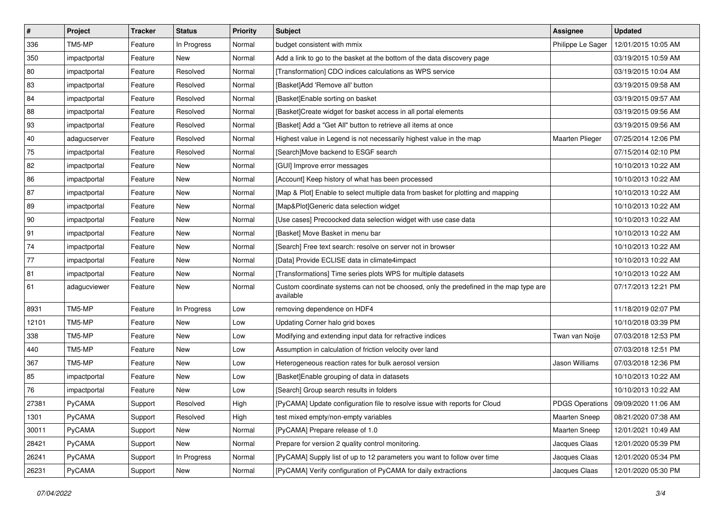| $\pmb{\#}$   | Project      | <b>Tracker</b> | <b>Status</b> | <b>Priority</b> | <b>Subject</b>                                                                                     | Assignee          | <b>Updated</b>                        |
|--------------|--------------|----------------|---------------|-----------------|----------------------------------------------------------------------------------------------------|-------------------|---------------------------------------|
| 336          | TM5-MP       | Feature        | In Progress   | Normal          | budget consistent with mmix                                                                        | Philippe Le Sager | 12/01/2015 10:05 AM                   |
| 350          | impactportal | Feature        | <b>New</b>    | Normal          | Add a link to go to the basket at the bottom of the data discovery page                            |                   | 03/19/2015 10:59 AM                   |
| 80           | impactportal | Feature        | Resolved      | Normal          | [Transformation] CDO indices calculations as WPS service                                           |                   | 03/19/2015 10:04 AM                   |
| 83           | impactportal | Feature        | Resolved      | Normal          | [Basket]Add 'Remove all' button                                                                    |                   | 03/19/2015 09:58 AM                   |
| 84           | impactportal | Feature        | Resolved      | Normal          | [Basket]Enable sorting on basket                                                                   |                   | 03/19/2015 09:57 AM                   |
| 88           | impactportal | Feature        | Resolved      | Normal          | [Basket]Create widget for basket access in all portal elements                                     |                   | 03/19/2015 09:56 AM                   |
| 93           | impactportal | Feature        | Resolved      | Normal          | [Basket] Add a "Get All" button to retrieve all items at once                                      |                   | 03/19/2015 09:56 AM                   |
| $ 40\rangle$ | adagucserver | Feature        | Resolved      | Normal          | Highest value in Legend is not necessarily highest value in the map                                | Maarten Plieger   | 07/25/2014 12:06 PM                   |
| 75           | impactportal | Feature        | Resolved      | Normal          | [Search]Move backend to ESGF search                                                                |                   | 07/15/2014 02:10 PM                   |
| 82           | impactportal | Feature        | New           | Normal          | [GUI] Improve error messages                                                                       |                   | 10/10/2013 10:22 AM                   |
| 86           | impactportal | Feature        | New           | Normal          | [Account] Keep history of what has been processed                                                  |                   | 10/10/2013 10:22 AM                   |
| 87           | impactportal | Feature        | <b>New</b>    | Normal          | [Map & Plot] Enable to select multiple data from basket for plotting and mapping                   |                   | 10/10/2013 10:22 AM                   |
| 89           | impactportal | Feature        | New           | Normal          | [Map&Plot]Generic data selection widget                                                            |                   | 10/10/2013 10:22 AM                   |
| $ 90\rangle$ | impactportal | Feature        | New           | Normal          | [Use cases] Precoocked data selection widget with use case data                                    |                   | 10/10/2013 10:22 AM                   |
| 91           | impactportal | Feature        | <b>New</b>    | Normal          | [Basket] Move Basket in menu bar                                                                   |                   | 10/10/2013 10:22 AM                   |
| 74           | impactportal | Feature        | <b>New</b>    | Normal          | [Search] Free text search: resolve on server not in browser                                        |                   | 10/10/2013 10:22 AM                   |
| 77           | impactportal | Feature        | New           | Normal          | [Data] Provide ECLISE data in climate4impact                                                       |                   | 10/10/2013 10:22 AM                   |
| 81           | impactportal | Feature        | <b>New</b>    | Normal          | [Transformations] Time series plots WPS for multiple datasets                                      |                   | 10/10/2013 10:22 AM                   |
| 61           | adagucviewer | Feature        | New           | Normal          | Custom coordinate systems can not be choosed, only the predefined in the map type are<br>available |                   | 07/17/2013 12:21 PM                   |
| 8931         | TM5-MP       | Feature        | In Progress   | Low             | removing dependence on HDF4                                                                        |                   | 11/18/2019 02:07 PM                   |
| 12101        | TM5-MP       | Feature        | <b>New</b>    | Low             | Updating Corner halo grid boxes                                                                    |                   | 10/10/2018 03:39 PM                   |
| 338          | TM5-MP       | Feature        | New           | Low             | Modifying and extending input data for refractive indices                                          | Twan van Noije    | 07/03/2018 12:53 PM                   |
| 440          | TM5-MP       | Feature        | New           | Low             | Assumption in calculation of friction velocity over land                                           |                   | 07/03/2018 12:51 PM                   |
| 367          | TM5-MP       | Feature        | New           | Low             | Heterogeneous reaction rates for bulk aerosol version                                              | Jason Williams    | 07/03/2018 12:36 PM                   |
| 85           | impactportal | Feature        | New           | Low             | [Basket]Enable grouping of data in datasets                                                        |                   | 10/10/2013 10:22 AM                   |
| 76           | impactportal | Feature        | New           | Low             | [Search] Group search results in folders                                                           |                   | 10/10/2013 10:22 AM                   |
| 27381        | PyCAMA       | Support        | Resolved      | High            | [PyCAMA] Update configuration file to resolve issue with reports for Cloud                         |                   | PDGS Operations   09/09/2020 11:06 AM |
| 1301         | PyCAMA       | Support        | Resolved      | High            | test mixed empty/non-empty variables                                                               | Maarten Sneep     | 08/21/2020 07:38 AM                   |
| 30011        | PyCAMA       | Support        | New           | Normal          | [PyCAMA] Prepare release of 1.0                                                                    | Maarten Sneep     | 12/01/2021 10:49 AM                   |
| 28421        | PyCAMA       | Support        | New           | Normal          | Prepare for version 2 quality control monitoring.                                                  | Jacques Claas     | 12/01/2020 05:39 PM                   |
| 26241        | PyCAMA       | Support        | In Progress   | Normal          | [PyCAMA] Supply list of up to 12 parameters you want to follow over time                           | Jacques Claas     | 12/01/2020 05:34 PM                   |
| 26231        | PyCAMA       | Support        | New           | Normal          | [PyCAMA] Verify configuration of PyCAMA for daily extractions                                      | Jacques Claas     | 12/01/2020 05:30 PM                   |